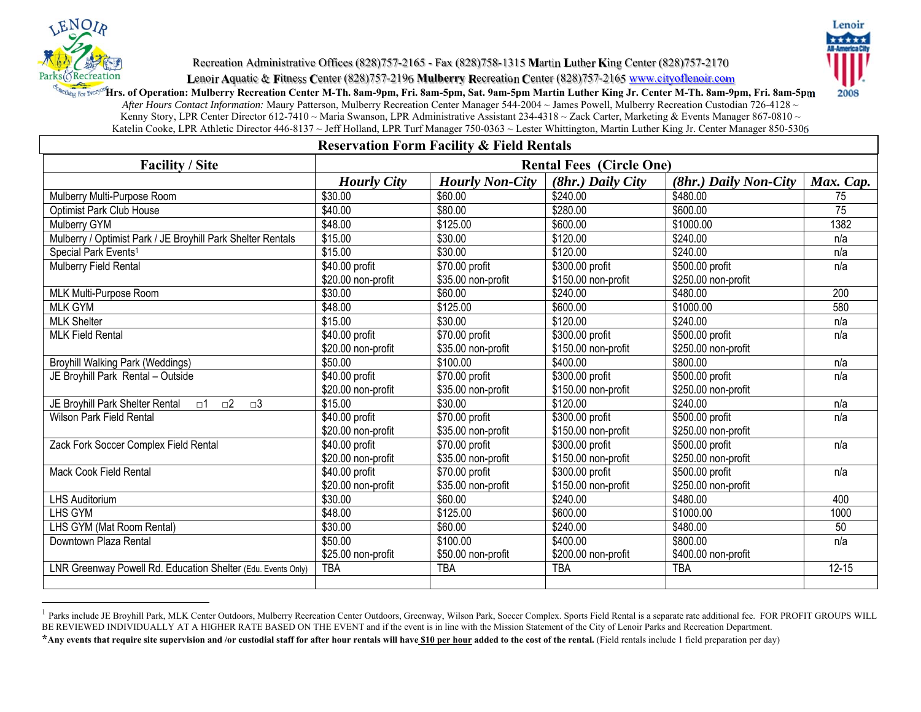

Lenoir 2008

Recreation Administrative Offices (828)757-2165 - Fax (828)758-1315 **M**artin **L**uther **K**ing Center (828)757-2170

**L**enoir **A**quatic & **F**itness **C**enter (828)757-2196 **Mulberry R**ecreation **C**enter (828)757-2165 www.cityoflenoir.com

<sub>g Fot Brev<sup>os</sup>Hrs. of Operation: Mulberry Recreation Center M-Th. 8am-9pm, Fri. 8am-5pm, Sat. 9am-5pm Martin Luther King Jr. Center M-Th. 8am-9pm, Fri. 8am-5pm</sub>

*After Hours Contact Information:* Maury Patterson, Mulberry Recreation Center Manager 544-2004 ~ James Powell, Mulberry Recreation Custodian 726-4128 ~ Kenny Story, LPR Center Director 612-7410 ~ Maria Swanson, LPR Administrative Assistant 234-4318 ~ Zack Carter, Marketing & Events Manager 867-0810 ~ Katelin Cooke, LPR Athletic Director 446-8137 ~ Jeff Holland, LPR Turf Manager 750-0363 ~ Lester Whittington, Martin Luther King Jr. Center Manager 850-5306

| <b>Reservation Form Facility &amp; Field Rentals</b>                         |                                 |                        |                     |                       |                 |
|------------------------------------------------------------------------------|---------------------------------|------------------------|---------------------|-----------------------|-----------------|
| <b>Facility / Site</b>                                                       | <b>Rental Fees (Circle One)</b> |                        |                     |                       |                 |
|                                                                              | <b>Hourly City</b>              | <b>Hourly Non-City</b> | $(8hr.)$ Daily City | (8hr.) Daily Non-City | Max. Cap.       |
| Mulberry Multi-Purpose Room                                                  | \$30.00                         | \$60.00                | \$240.00            | \$480.00              | 75              |
| <b>Optimist Park Club House</b>                                              | \$40.00                         | \$80.00                | \$280.00            | \$600.00              | $\overline{75}$ |
| Mulberry GYM                                                                 | \$48.00                         | \$125.00               | \$600.00            | \$1000.00             | 1382            |
| Mulberry / Optimist Park / JE Broyhill Park Shelter Rentals                  | \$15.00                         | \$30.00                | \$120.00            | \$240.00              | n/a             |
| Special Park Events <sup>1</sup>                                             | \$15.00                         | \$30.00                | \$120.00            | \$240.00              | n/a             |
| Mulberry Field Rental                                                        | \$40.00 profit                  | \$70.00 profit         | \$300.00 profit     | \$500.00 profit       | n/a             |
|                                                                              | \$20.00 non-profit              | \$35.00 non-profit     | \$150.00 non-profit | \$250.00 non-profit   |                 |
| MLK Multi-Purpose Room                                                       | \$30.00                         | \$60.00                | \$240.00            | \$480.00              | 200             |
| <b>MLK GYM</b>                                                               | \$48.00                         | \$125.00               | \$600.00            | \$1000.00             | 580             |
| <b>MLK Shelter</b>                                                           | \$15.00                         | \$30.00                | \$120.00            | \$240.00              | n/a             |
| <b>MLK Field Rental</b>                                                      | \$40.00 profit                  | \$70.00 profit         | \$300.00 profit     | \$500.00 profit       | n/a             |
|                                                                              | \$20.00 non-profit              | \$35.00 non-profit     | \$150.00 non-profit | \$250.00 non-profit   |                 |
| <b>Broyhill Walking Park (Weddings)</b>                                      | \$50.00                         | \$100.00               | \$400.00            | \$800.00              | n/a             |
| JE Broyhill Park Rental - Outside                                            | \$40.00 profit                  | \$70.00 profit         | \$300.00 profit     | \$500.00 profit       | n/a             |
|                                                                              | \$20.00 non-profit              | \$35.00 non-profit     | \$150.00 non-profit | \$250.00 non-profit   |                 |
| JE Broyhill Park Shelter Rental<br>$\square$ 2<br>$\square$ 3<br>$\square$ 1 | \$15.00                         | \$30.00                | \$120.00            | \$240.00              | n/a             |
| <b>Wilson Park Field Rental</b>                                              | \$40.00 profit                  | \$70.00 profit         | \$300.00 profit     | \$500.00 profit       | n/a             |
|                                                                              | \$20.00 non-profit              | \$35.00 non-profit     | \$150.00 non-profit | \$250.00 non-profit   |                 |
| Zack Fork Soccer Complex Field Rental                                        | \$40.00 profit                  | \$70.00 profit         | \$300.00 profit     | \$500.00 profit       | n/a             |
|                                                                              | \$20.00 non-profit              | \$35.00 non-profit     | \$150.00 non-profit | \$250.00 non-profit   |                 |
| <b>Mack Cook Field Rental</b>                                                | \$40.00 profit                  | \$70.00 profit         | \$300.00 profit     | \$500.00 profit       | n/a             |
|                                                                              | \$20.00 non-profit              | \$35.00 non-profit     | \$150.00 non-profit | \$250.00 non-profit   |                 |
| <b>LHS Auditorium</b>                                                        | \$30.00                         | \$60.00                | \$240.00            | \$480.00              | 400             |
| <b>LHS GYM</b>                                                               | \$48.00                         | \$125.00               | \$600.00            | \$1000.00             | 1000            |
| LHS GYM (Mat Room Rental)                                                    | \$30.00                         | \$60.00                | \$240.00            | \$480.00              | 50              |
| Downtown Plaza Rental                                                        | \$50.00                         | \$100.00               | \$400.00            | \$800.00              | n/a             |
|                                                                              | \$25.00 non-profit              | \$50.00 non-profit     | \$200.00 non-profit | \$400.00 non-profit   |                 |
| LNR Greenway Powell Rd. Education Shelter (Edu. Events Only)                 | <b>TBA</b>                      | <b>TBA</b>             | <b>TBA</b>          | <b>TBA</b>            | $12 - 15$       |
|                                                                              |                                 |                        |                     |                       |                 |

<sup>&</sup>lt;sup>1</sup> Parks include JE Broyhill Park, MLK Center Outdoors, Mulberry Recreation Center Outdoors, Greenway, Wilson Park, Soccer Complex. Sports Field Rental is a separate rate additional fee. FOR PROFIT GROUPS WILL BE REVIEWED INDIVIDUALLY AT A HIGHER RATE BASED ON THE EVENT and if the event is in line with the Mission Statement of the City of Lenoir Parks and Recreation Department.

**<sup>\*</sup>Any events that require site supervision and /or custodial staff for after hour rentals will have \$10 per hour added to the cost of the rental.** (Field rentals include 1 field preparation per day)